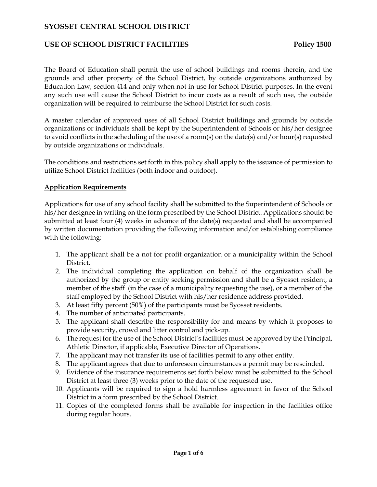# USE OF SCHOOL DISTRICT FACILITIES Policy 1500

The Board of Education shall permit the use of school buildings and rooms therein, and the grounds and other property of the School District, by outside organizations authorized by Education Law, section 414 and only when not in use for School District purposes. In the event any such use will cause the School District to incur costs as a result of such use, the outside organization will be required to reimburse the School District for such costs.

A master calendar of approved uses of all School District buildings and grounds by outside organizations or individuals shall be kept by the Superintendent of Schools or his/her designee to avoid conflicts in the scheduling of the use of a room(s) on the date(s) and/or hour(s) requested by outside organizations or individuals.

The conditions and restrictions set forth in this policy shall apply to the issuance of permission to utilize School District facilities (both indoor and outdoor).

#### **Application Requirements**

Applications for use of any school facility shall be submitted to the Superintendent of Schools or his/her designee in writing on the form prescribed by the School District. Applications should be submitted at least four (4) weeks in advance of the date(s) requested and shall be accompanied by written documentation providing the following information and/or establishing compliance with the following:

- 1. The applicant shall be a not for profit organization or a municipality within the School District.
- 2. The individual completing the application on behalf of the organization shall be authorized by the group or entity seeking permission and shall be a Syosset resident, a member of the staff (in the case of a municipality requesting the use), or a member of the staff employed by the School District with his/her residence address provided.
- 3. At least fifty percent (50%) of the participants must be Syosset residents.
- 4. The number of anticipated participants.
- 5. The applicant shall describe the responsibility for and means by which it proposes to provide security, crowd and litter control and pick-up.
- 6. The request for the use of the School District's facilities must be approved by the Principal, Athletic Director, if applicable, Executive Director of Operations.
- 7. The applicant may not transfer its use of facilities permit to any other entity.
- 8. The applicant agrees that due to unforeseen circumstances a permit may be rescinded.
- 9. Evidence of the insurance requirements set forth below must be submitted to the School District at least three (3) weeks prior to the date of the requested use.
- 10. Applicants will be required to sign a hold harmless agreement in favor of the School District in a form prescribed by the School District.
- 11. Copies of the completed forms shall be available for inspection in the facilities office during regular hours.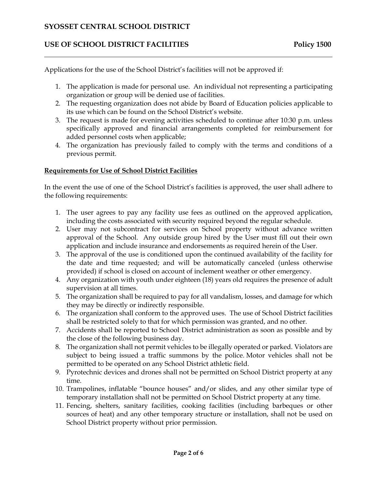## USE OF SCHOOL DISTRICT FACILITIES Policy 1500

Applications for the use of the School District's facilities will not be approved if:

- 1. The application is made for personal use. An individual not representing a participating organization or group will be denied use of facilities.
- 2. The requesting organization does not abide by Board of Education policies applicable to its use which can be found on the School District's website.
- 3. The request is made for evening activities scheduled to continue after 10:30 p.m. unless specifically approved and financial arrangements completed for reimbursement for added personnel costs when applicable;
- 4. The organization has previously failed to comply with the terms and conditions of a previous permit.

#### **Requirements for Use of School District Facilities**

In the event the use of one of the School District's facilities is approved, the user shall adhere to the following requirements:

- 1. The user agrees to pay any facility use fees as outlined on the approved application, including the costs associated with security required beyond the regular schedule.
- 2. User may not subcontract for services on School property without advance written approval of the School. Any outside group hired by the User must fill out their own application and include insurance and endorsements as required herein of the User.
- 3. The approval of the use is conditioned upon the continued availability of the facility for the date and time requested; and will be automatically canceled (unless otherwise provided) if school is closed on account of inclement weather or other emergency.
- 4. Any organization with youth under eighteen (18) years old requires the presence of adult supervision at all times.
- 5. The organization shall be required to pay for all vandalism, losses, and damage for which they may be directly or indirectly responsible.
- 6. The organization shall conform to the approved uses. The use of School District facilities shall be restricted solely to that for which permission was granted, and no other.
- 7. Accidents shall be reported to School District administration as soon as possible and by the close of the following business day.
- 8. The organization shall not permit vehicles to be illegally operated or parked. Violators are subject to being issued a traffic summons by the police. Motor vehicles shall not be permitted to be operated on any School District athletic field.
- 9. Pyrotechnic devices and drones shall not be permitted on School District property at any time.
- 10. Trampolines, inflatable "bounce houses" and/or slides, and any other similar type of temporary installation shall not be permitted on School District property at any time.
- 11. Fencing, shelters, sanitary facilities, cooking facilities (including barbeques or other sources of heat) and any other temporary structure or installation, shall not be used on School District property without prior permission.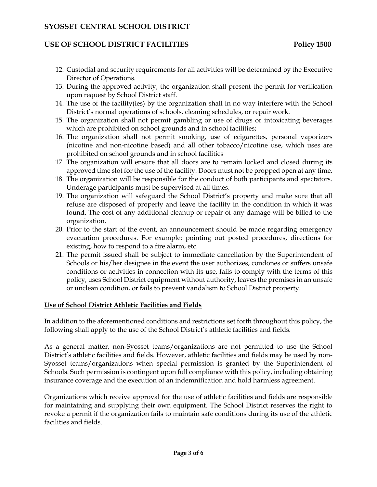#### USE OF SCHOOL DISTRICT FACILITIES Policy 1500

- 12. Custodial and security requirements for all activities will be determined by the Executive Director of Operations.
- 13. During the approved activity, the organization shall present the permit for verification upon request by School District staff.
- 14. The use of the facility(ies) by the organization shall in no way interfere with the School District's normal operations of schools, cleaning schedules, or repair work.
- 15. The organization shall not permit gambling or use of drugs or intoxicating beverages which are prohibited on school grounds and in school facilities;
- 16. The organization shall not permit smoking, use of ecigarettes, personal vaporizers (nicotine and non-nicotine based) and all other tobacco/nicotine use, which uses are prohibited on school grounds and in school facilities
- 17. The organization will ensure that all doors are to remain locked and closed during its approved time slot for the use of the facility. Doors must not be propped open at any time.
- 18. The organization will be responsible for the conduct of both participants and spectators. Underage participants must be supervised at all times.
- 19. The organization will safeguard the School District's property and make sure that all refuse are disposed of properly and leave the facility in the condition in which it was found. The cost of any additional cleanup or repair of any damage will be billed to the organization.
- 20. Prior to the start of the event, an announcement should be made regarding emergency evacuation procedures. For example: pointing out posted procedures, directions for existing, how to respond to a fire alarm, etc.
- 21. The permit issued shall be subject to immediate cancellation by the Superintendent of Schools or his/her designee in the event the user authorizes, condones or suffers unsafe conditions or activities in connection with its use, fails to comply with the terms of this policy, uses School District equipment without authority, leaves the premises in an unsafe or unclean condition, or fails to prevent vandalism to School District property.

#### **Use of School District Athletic Facilities and Fields**

In addition to the aforementioned conditions and restrictions set forth throughout this policy, the following shall apply to the use of the School District's athletic facilities and fields.

As a general matter, non-Syosset teams/organizations are not permitted to use the School District's athletic facilities and fields. However, athletic facilities and fields may be used by non-Syosset teams/organizations when special permission is granted by the Superintendent of Schools. Such permission is contingent upon full compliance with this policy, including obtaining insurance coverage and the execution of an indemnification and hold harmless agreement.

Organizations which receive approval for the use of athletic facilities and fields are responsible for maintaining and supplying their own equipment. The School District reserves the right to revoke a permit if the organization fails to maintain safe conditions during its use of the athletic facilities and fields.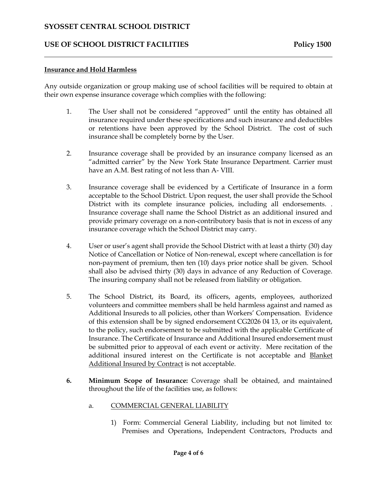#### USE OF SCHOOL DISTRICT FACILITIES Policy 1500

#### **Insurance and Hold Harmless**

Any outside organization or group making use of school facilities will be required to obtain at their own expense insurance coverage which complies with the following:

- 1. The User shall not be considered "approved" until the entity has obtained all insurance required under these specifications and such insurance and deductibles or retentions have been approved by the School District. The cost of such insurance shall be completely borne by the User.
- 2. Insurance coverage shall be provided by an insurance company licensed as an "admitted carrier" by the New York State Insurance Department. Carrier must have an A.M. Best rating of not less than A- VIII.
- 3. Insurance coverage shall be evidenced by a Certificate of Insurance in a form acceptable to the School District. Upon request, the user shall provide the School District with its complete insurance policies, including all endorsements. . Insurance coverage shall name the School District as an additional insured and provide primary coverage on a non-contributory basis that is not in excess of any insurance coverage which the School District may carry.
- 4. User or user's agent shall provide the School District with at least a thirty (30) day Notice of Cancellation or Notice of Non-renewal, except where cancellation is for non-payment of premium, then ten (10) days prior notice shall be given. School shall also be advised thirty (30) days in advance of any Reduction of Coverage. The insuring company shall not be released from liability or obligation.
- 5. The School District, its Board, its officers, agents, employees, authorized volunteers and committee members shall be held harmless against and named as Additional Insureds to all policies, other than Workers' Compensation. Evidence of this extension shall be by signed endorsement CG2026 04 13, or its equivalent, to the policy, such endorsement to be submitted with the applicable Certificate of Insurance. The Certificate of Insurance and Additional Insured endorsement must be submitted prior to approval of each event or activity. Mere recitation of the additional insured interest on the Certificate is not acceptable and Blanket Additional Insured by Contract is not acceptable.
- **6. Minimum Scope of Insurance:** Coverage shall be obtained, and maintained throughout the life of the facilities use, as follows:
	- a. COMMERCIAL GENERAL LIABILITY
		- 1) Form: Commercial General Liability, including but not limited to: Premises and Operations, Independent Contractors, Products and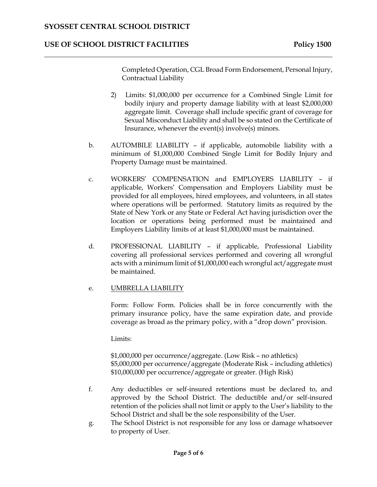## USE OF SCHOOL DISTRICT FACILITIES Policy 1500

Completed Operation, CGL Broad Form Endorsement, Personal Injury, Contractual Liability

- 2) Limits: \$1,000,000 per occurrence for a Combined Single Limit for bodily injury and property damage liability with at least \$2,000,000 aggregate limit. Coverage shall include specific grant of coverage for Sexual Misconduct Liability and shall be so stated on the Certificate of Insurance, whenever the event(s) involve(s) minors.
- b. AUTOMBILE LIABILITY if applicable, automobile liability with a minimum of \$1,000,000 Combined Single Limit for Bodily Injury and Property Damage must be maintained.
- c. WORKERS' COMPENSATION and EMPLOYERS LIABILITY if applicable, Workers' Compensation and Employers Liability must be provided for all employees, hired employees, and volunteers, in all states where operations will be performed. Statutory limits as required by the State of New York or any State or Federal Act having jurisdiction over the location or operations being performed must be maintained and Employers Liability limits of at least \$1,000,000 must be maintained.
- d. PROFESSIONAL LIABILITY if applicable, Professional Liability covering all professional services performed and covering all wrongful acts with a minimum limit of \$1,000,000 each wrongful act/aggregate must be maintained.

#### e. UMBRELLA LIABILITY

Form: Follow Form. Policies shall be in force concurrently with the primary insurance policy, have the same expiration date, and provide coverage as broad as the primary policy, with a "drop down" provision.

Limits:

\$1,000,000 per occurrence/aggregate. (Low Risk – no athletics) \$5,000,000 per occurrence/aggregate (Moderate Risk – including athletics) \$10,000,000 per occurrence/aggregate or greater. (High Risk)

- f. Any deductibles or self-insured retentions must be declared to, and approved by the School District. The deductible and/or self-insured retention of the policies shall not limit or apply to the User's liability to the School District and shall be the sole responsibility of the User.
- g. The School District is not responsible for any loss or damage whatsoever to property of User.